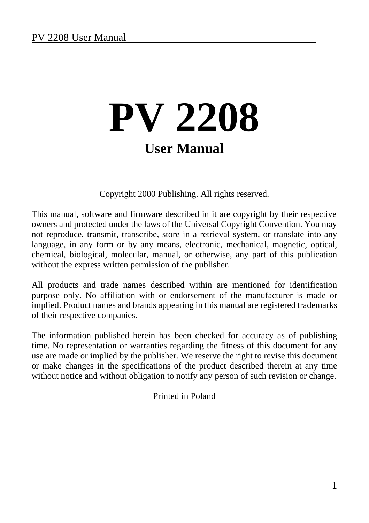Copyright 2000 Publishing. All rights reserved.

This manual, software and firmware described in it are copyright by their respective owners and protected under the laws of the Universal Copyright Convention. You may not reproduce, transmit, transcribe, store in a retrieval system, or translate into any language, in any form or by any means, electronic, mechanical, magnetic, optical, chemical, biological, molecular, manual, or otherwise, any part of this publication without the express written permission of the publisher.

All products and trade names described within are mentioned for identification purpose only. No affiliation with or endorsement of the manufacturer is made or implied. Product names and brands appearing in this manual are registered trademarks of their respective companies.

The information published herein has been checked for accuracy as of publishing time. No representation or warranties regarding the fitness of this document for any use are made or implied by the publisher. We reserve the right to revise this document or make changes in the specifications of the product described therein at any time without notice and without obligation to notify any person of such revision or change.

Printed in Poland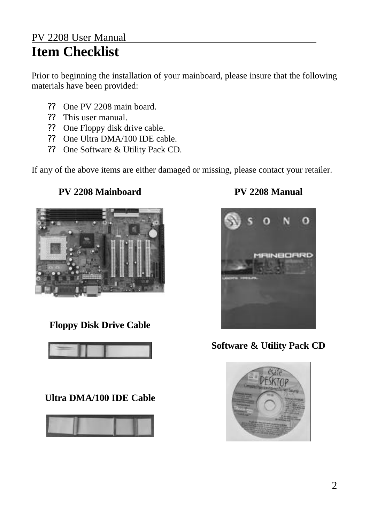### PV 2208 User Manual **Item Checklist**

Prior to beginning the installation of your mainboard, please insure that the following materials have been provided:

- ?? One PV 2208 main board.
- ?? This user manual.
- ?? One Floppy disk drive cable.
- ?? One Ultra DMA/100 IDE cable.
- ?? One Software & Utility Pack CD.

If any of the above items are either damaged or missing, please contact your retailer.

#### **PV 2208 Mainboard**



### **Floppy Disk Drive Cable**



### **Ultra DMA/100 IDE Cable**



### **PV 2208 Manual**



**Software & Utility Pack CD**

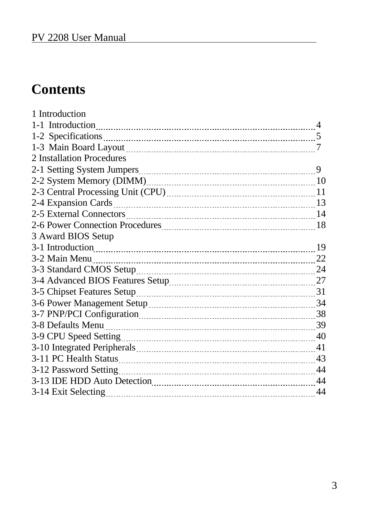## **Contents**

| 1 Introduction            |                |
|---------------------------|----------------|
| 1-1 Introduction          | $\overline{4}$ |
|                           |                |
|                           |                |
| 2 Installation Procedures |                |
|                           | 9              |
|                           |                |
|                           |                |
|                           |                |
|                           |                |
|                           |                |
| 3 Award BIOS Setup        |                |
|                           |                |
| 3-2 Main Menu 22          |                |
|                           |                |
|                           |                |
|                           |                |
|                           |                |
|                           |                |
|                           |                |
|                           |                |
|                           |                |
|                           |                |
|                           |                |
|                           |                |
|                           |                |
|                           |                |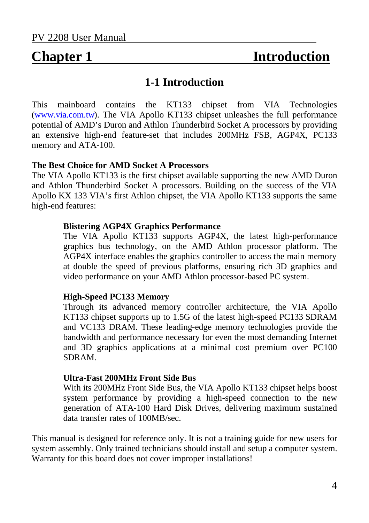## **Chapter 1 Introduction**

#### **1-1 Introduction**

This mainboard contains the KT133 chipset from VIA Technologies (www.via.com.tw). The VIA Apollo KT133 chipset unleashes the full performance potential of AMD's Duron and Athlon Thunderbird Socket A processors by providing an extensive high-end feature-set that includes 200MHz FSB, AGP4X, PC133 memory and ATA-100.

#### **The Best Choice for AMD Socket A Processors**

The VIA Apollo KT133 is the first chipset available supporting the new AMD Duron and Athlon Thunderbird Socket A processors. Building on the success of the VIA Apollo KX 133 VIA's first Athlon chipset, the VIA Apollo KT133 supports the same high-end features:

#### **Blistering AGP4X Graphics Performance**

The VIA Apollo KT133 supports AGP4X, the latest high-performance graphics bus technology, on the AMD Athlon processor platform. The AGP4X interface enables the graphics controller to access the main memory at double the speed of previous platforms, ensuring rich 3D graphics and video performance on your AMD Athlon processor-based PC system.

#### **High-Speed PC133 Memory**

Through its advanced memory controller architecture, the VIA Apollo KT133 chipset supports up to 1.5G of the latest high-speed PC133 SDRAM and VC133 DRAM. These leading-edge memory technologies provide the bandwidth and performance necessary for even the most demanding Internet and 3D graphics applications at a minimal cost premium over PC100 SDRAM.

#### **Ultra-Fast 200MHz Front Side Bus**

With its 200MHz Front Side Bus, the VIA Apollo KT133 chipset helps boost system performance by providing a high-speed connection to the new generation of ATA-100 Hard Disk Drives, delivering maximum sustained data transfer rates of 100MB/sec.

This manual is designed for reference only. It is not a training guide for new users for system assembly. Only trained technicians should install and setup a computer system. Warranty for this board does not cover improper installations!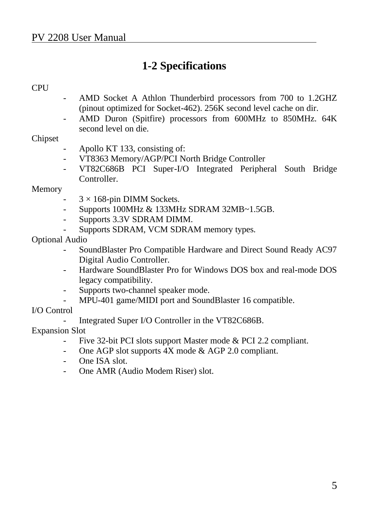### **1-2 Specifications**

#### **CPU**

- AMD Socket A Athlon Thunderbird processors from 700 to 1.2GHZ (pinout optimized for Socket-462). 256K second level cache on dir.
- AMD Duron (Spitfire) processors from 600MHz to 850MHz. 64K second level on die.

#### Chipset

- Apollo KT 133, consisting of:
- VT8363 Memory/AGP/PCI North Bridge Controller
- VT82C686B PCI Super-I/O Integrated Peripheral South Bridge **Controller**

#### Memory

- $3 \times 168$ -pin DIMM Sockets.
- Supports 100MHz & 133MHz SDRAM 32MB~1.5GB.
- Supports 3.3V SDRAM DIMM.
- Supports SDRAM, VCM SDRAM memory types.

#### Optional Audio

- SoundBlaster Pro Compatible Hardware and Direct Sound Ready AC97 Digital Audio Controller.
- Hardware SoundBlaster Pro for Windows DOS box and real-mode DOS legacy compatibility.
- Supports two-channel speaker mode.
- MPU-401 game/MIDI port and SoundBlaster 16 compatible.

#### I/O Control

Integrated Super I/O Controller in the VT82C686B.

#### Expansion Slot

- Five 32-bit PCI slots support Master mode & PCI 2.2 compliant.
- One AGP slot supports 4X mode & AGP 2.0 compliant.
- One ISA slot.
- One AMR (Audio Modem Riser) slot.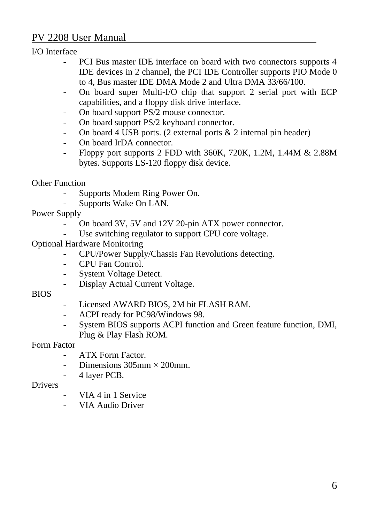I/O Interface

- PCI Bus master IDE interface on board with two connectors supports 4 IDE devices in 2 channel, the PCI IDE Controller supports PIO Mode 0 to 4, Bus master IDE DMA Mode 2 and Ultra DMA 33/66/100.
- On board super Multi-I/O chip that support 2 serial port with ECP capabilities, and a floppy disk drive interface.
- On board support PS/2 mouse connector.
- On board support PS/2 keyboard connector.
- On board 4 USB ports. (2 external ports  $& 2$  internal pin header)
- On board IrDA connector.
- Floppy port supports 2 FDD with 360K, 720K, 1.2M, 1.44M & 2.88M bytes. Supports LS-120 floppy disk device.

Other Function

- Supports Modem Ring Power On.
- Supports Wake On LAN.

Power Supply

- On board 3V, 5V and 12V 20-pin ATX power connector.
- Use switching regulator to support CPU core voltage.
- Optional Hardware Monitoring
	- CPU/Power Supply/Chassis Fan Revolutions detecting.
	- CPU Fan Control.
	- System Voltage Detect.
	- Display Actual Current Voltage.

#### BIOS

- Licensed AWARD BIOS, 2M bit FLASH RAM.
- ACPI ready for PC98/Windows 98.
- System BIOS supports ACPI function and Green feature function, DMI, Plug & Play Flash ROM.

#### Form Factor

- ATX Form Factor.
- Dimensions  $305 \text{mm} \times 200 \text{mm}$ .
- 4 layer PCB.

#### Drivers

- VIA 4 in 1 Service
- VIA Audio Driver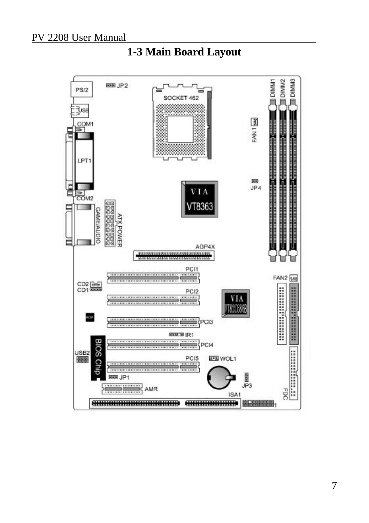

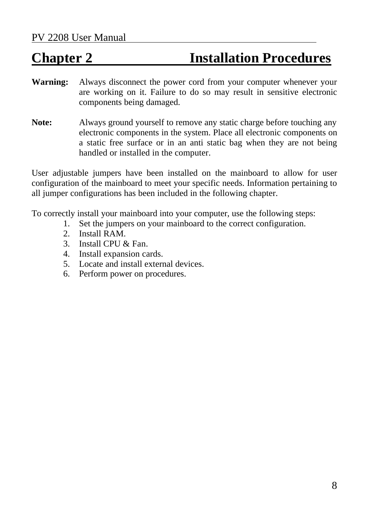## **Chapter 2 Installation Procedures**

- **Warning:** Always disconnect the power cord from your computer whenever your are working on it. Failure to do so may result in sensitive electronic components being damaged.
- **Note:** Always ground yourself to remove any static charge before touching any electronic components in the system. Place all electronic components on a static free surface or in an anti static bag when they are not being handled or installed in the computer.

User adjustable jumpers have been installed on the mainboard to allow for user configuration of the mainboard to meet your specific needs. Information pertaining to all jumper configurations has been included in the following chapter.

To correctly install your mainboard into your computer, use the following steps:

- 1. Set the jumpers on your mainboard to the correct configuration.
- 2. Install RAM.
- 3. Install CPU & Fan.
- 4. Install expansion cards.
- 5. Locate and install external devices.
- 6. Perform power on procedures.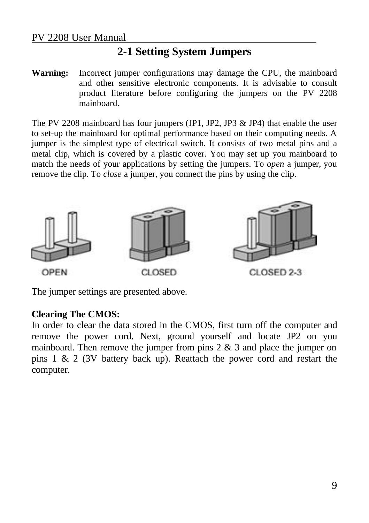### **2-1 Setting System Jumpers**

**Warning:** Incorrect jumper configurations may damage the CPU, the mainboard and other sensitive electronic components. It is advisable to consult product literature before configuring the jumpers on the PV 2208 mainboard.

The PV 2208 mainboard has four jumpers (JP1, JP2, JP3 & JP4) that enable the user to set-up the mainboard for optimal performance based on their computing needs. A jumper is the simplest type of electrical switch. It consists of two metal pins and a metal clip, which is covered by a plastic cover. You may set up you mainboard to match the needs of your applications by setting the jumpers. To *open* a jumper, you remove the clip. To *close* a jumper, you connect the pins by using the clip.



The jumper settings are presented above.

#### **Clearing The CMOS:**

In order to clear the data stored in the CMOS, first turn off the computer and remove the power cord. Next, ground yourself and locate JP2 on you mainboard. Then remove the jumper from pins  $2 \& 3$  and place the jumper on pins 1 & 2 (3V battery back up). Reattach the power cord and restart the computer.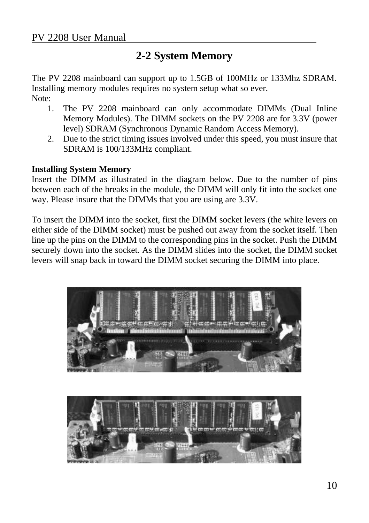### **2-2 System Memory**

The PV 2208 mainboard can support up to 1.5GB of 100MHz or 133Mhz SDRAM. Installing memory modules requires no system setup what so ever. Note:

- 1. The PV 2208 mainboard can only accommodate DIMMs (Dual Inline Memory Modules). The DIMM sockets on the PV 2208 are for 3.3V (power level) SDRAM (Synchronous Dynamic Random Access Memory).
- 2. Due to the strict timing issues involved under this speed, you must insure that SDRAM is 100/133MHz compliant.

#### **Installing System Memory**

Insert the DIMM as illustrated in the diagram below. Due to the number of pins between each of the breaks in the module, the DIMM will only fit into the socket one way. Please insure that the DIMMs that you are using are 3.3V.

To insert the DIMM into the socket, first the DIMM socket levers (the white levers on either side of the DIMM socket) must be pushed out away from the socket itself. Then line up the pins on the DIMM to the corresponding pins in the socket. Push the DIMM securely down into the socket. As the DIMM slides into the socket, the DIMM socket levers will snap back in toward the DIMM socket securing the DIMM into place.



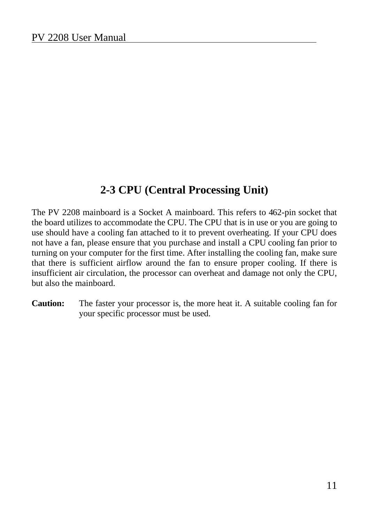### **2-3 CPU (Central Processing Unit)**

The PV 2208 mainboard is a Socket A mainboard. This refers to 462-pin socket that the board utilizes to accommodate the CPU. The CPU that is in use or you are going to use should have a cooling fan attached to it to prevent overheating. If your CPU does not have a fan, please ensure that you purchase and install a CPU cooling fan prior to turning on your computer for the first time. After installing the cooling fan, make sure that there is sufficient airflow around the fan to ensure proper cooling. If there is insufficient air circulation, the processor can overheat and damage not only the CPU, but also the mainboard.

**Caution:** The faster your processor is, the more heat it. A suitable cooling fan for your specific processor must be used.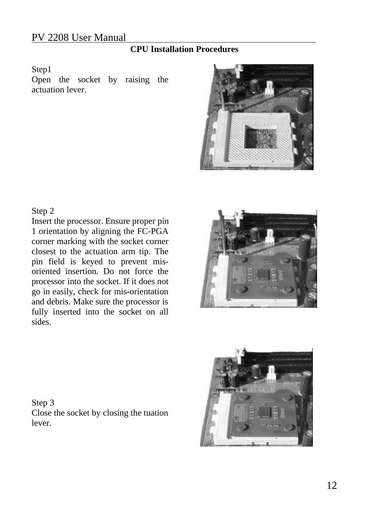### **CPU Installation Procedures**

#### Step1

Open the socket by raising the actuation lever.



#### Step 2

Insert the processor. Ensure proper pin 1 orientation by aligning the FC-PGA corner marking with the socket corner closest to the actuation arm tip. The pin field is keyed to prevent misoriented insertion. Do not force the processor into the socket. If it does not go in easily, check for mis-orientation and debris. Make sure the processor is fully inserted into the socket on all sides.





Step 3 Close the socket by closing the tuation lever.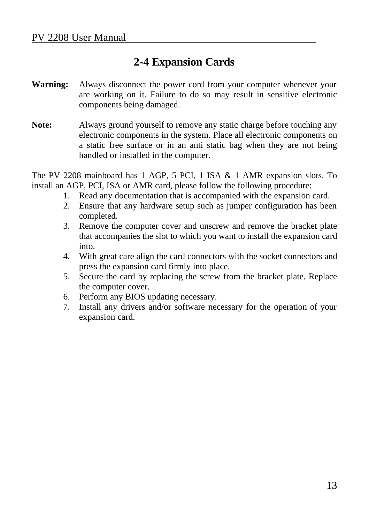### **2-4 Expansion Cards**

- **Warning:** Always disconnect the power cord from your computer whenever your are working on it. Failure to do so may result in sensitive electronic components being damaged.
- **Note:** Always ground yourself to remove any static charge before touching any electronic components in the system. Place all electronic components on a static free surface or in an anti static bag when they are not being handled or installed in the computer.

The PV 2208 mainboard has 1 AGP, 5 PCI, 1 ISA & 1 AMR expansion slots. To install an AGP, PCI, ISA or AMR card, please follow the following procedure:

- 1. Read any documentation that is accompanied with the expansion card.
- 2. Ensure that any hardware setup such as jumper configuration has been completed.
- 3. Remove the computer cover and unscrew and remove the bracket plate that accompanies the slot to which you want to install the expansion card into.
- 4. With great care align the card connectors with the socket connectors and press the expansion card firmly into place.
- 5. Secure the card by replacing the screw from the bracket plate. Replace the computer cover.
- 6. Perform any BIOS updating necessary.
- 7. Install any drivers and/or software necessary for the operation of your expansion card.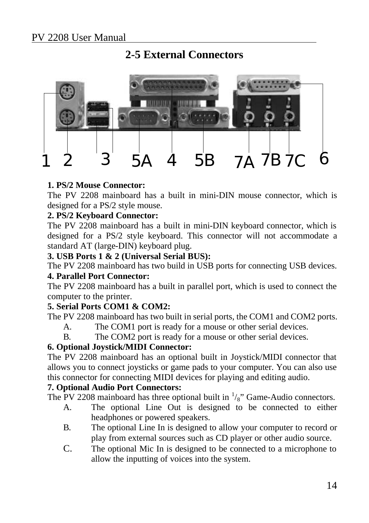### **2-5 External Connectors**



#### **1. PS/2 Mouse Connector:**

The PV 2208 mainboard has a built in mini-DIN mouse connector, which is designed for a PS/2 style mouse.

#### **2. PS/2 Keyboard Connector:**

The PV 2208 mainboard has a built in mini-DIN keyboard connector, which is designed for a PS/2 style keyboard. This connector will not accommodate a standard AT (large-DIN) keyboard plug.

#### **3. USB Ports 1 & 2 (Universal Serial BUS):**

The PV 2208 mainboard has two build in USB ports for connecting USB devices.

#### **4. Parallel Port Connector:**

The PV 2208 mainboard has a built in parallel port, which is used to connect the computer to the printer.

#### **5. Serial Ports COM1 & COM2:**

The PV 2208 mainboard has two built in serial ports, the COM1 and COM2 ports.

- A. The COM1 port is ready for a mouse or other serial devices.
- B. The COM2 port is ready for a mouse or other serial devices.

#### **6. Optional Joystick/MIDI Connector:**

The PV 2208 mainboard has an optional built in Joystick/MIDI connector that allows you to connect joysticks or game pads to your computer. You can also use this connector for connecting MIDI devices for playing and editing audio.

#### **7. Optional Audio Port Connectors:**

The PV 2208 mainboard has three optional built in  $\frac{1}{8}$  Game-Audio connectors.

- A. The optional Line Out is designed to be connected to either headphones or powered speakers.
- B. The optional Line In is designed to allow your computer to record or play from external sources such as CD player or other audio source.
- C. The optional Mic In is designed to be connected to a microphone to allow the inputting of voices into the system.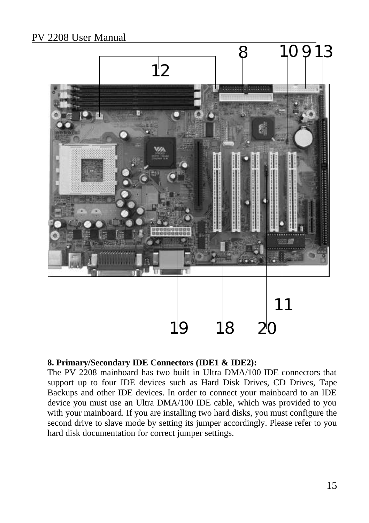

#### **8. Primary/Secondary IDE Connectors (IDE1 & IDE2):**

The PV 2208 mainboard has two built in Ultra DMA/100 IDE connectors that support up to four IDE devices such as Hard Disk Drives, CD Drives, Tape Backups and other IDE devices. In order to connect your mainboard to an IDE device you must use an Ultra DMA/100 IDE cable, which was provided to you with your mainboard. If you are installing two hard disks, you must configure the second drive to slave mode by setting its jumper accordingly. Please refer to you hard disk documentation for correct jumper settings.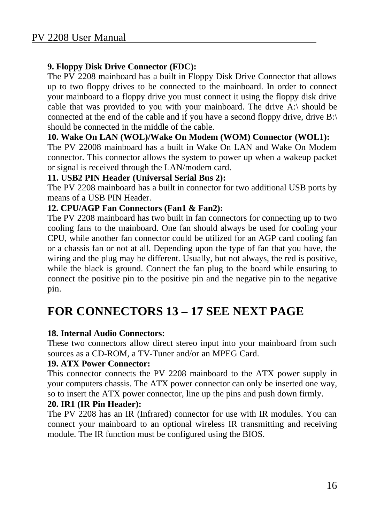#### **9. Floppy Disk Drive Connector (FDC):**

The PV 2208 mainboard has a built in Floppy Disk Drive Connector that allows up to two floppy drives to be connected to the mainboard. In order to connect your mainboard to a floppy drive you must connect it using the floppy disk drive cable that was provided to you with your mainboard. The drive A: $\setminus$  should be connected at the end of the cable and if you have a second floppy drive, drive B:\ should be connected in the middle of the cable.

#### **10. Wake On LAN (WOL)/Wake On Modem (WOM) Connector (WOL1):**

The PV 22008 mainboard has a built in Wake On LAN and Wake On Modem connector. This connector allows the system to power up when a wakeup packet or signal is received through the LAN/modem card.

#### **11. USB2 PIN Header (Universal Serial Bus 2):**

The PV 2208 mainboard has a built in connector for two additional USB ports by means of a USB PIN Header.

#### **12. CPU/AGP Fan Connectors (Fan1 & Fan2):**

The PV 2208 mainboard has two built in fan connectors for connecting up to two cooling fans to the mainboard. One fan should always be used for cooling your CPU, while another fan connector could be utilized for an AGP card cooling fan or a chassis fan or not at all. Depending upon the type of fan that you have, the wiring and the plug may be different. Usually, but not always, the red is positive, while the black is ground. Connect the fan plug to the board while ensuring to connect the positive pin to the positive pin and the negative pin to the negative pin.

### **FOR CONNECTORS 13 – 17 SEE NEXT PAGE**

#### **18. Internal Audio Connectors:**

These two connectors allow direct stereo input into your mainboard from such sources as a CD-ROM, a TV-Tuner and/or an MPEG Card.

#### **19. ATX Power Connector:**

This connector connects the PV 2208 mainboard to the ATX power supply in your computers chassis. The ATX power connector can only be inserted one way, so to insert the ATX power connector, line up the pins and push down firmly.

#### **20. IR1 (IR Pin Header):**

The PV 2208 has an IR (Infrared) connector for use with IR modules. You can connect your mainboard to an optional wireless IR transmitting and receiving module. The IR function must be configured using the BIOS.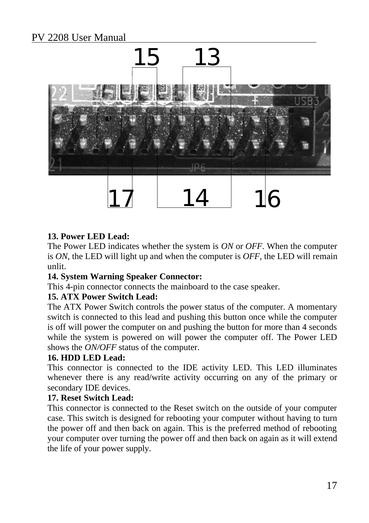

#### **13. Power LED Lead:**

The Power LED indicates whether the system is *ON* or *OFF*. When the computer is *ON*, the LED will light up and when the computer is *OFF*, the LED will remain unlit.

#### **14. System Warning Speaker Connector:**

This 4-pin connector connects the mainboard to the case speaker.

#### **15. ATX Power Switch Lead:**

The ATX Power Switch controls the power status of the computer. A momentary switch is connected to this lead and pushing this button once while the computer is off will power the computer on and pushing the button for more than 4 seconds while the system is powered on will power the computer off. The Power LED shows the *ON/OFF* status of the computer.

#### **16. HDD LED Lead:**

This connector is connected to the IDE activity LED. This LED illuminates whenever there is any read/write activity occurring on any of the primary or secondary IDE devices.

#### **17. Reset Switch Lead:**

This connector is connected to the Reset switch on the outside of your computer case. This switch is designed for rebooting your computer without having to turn the power off and then back on again. This is the preferred method of rebooting your computer over turning the power off and then back on again as it will extend the life of your power supply.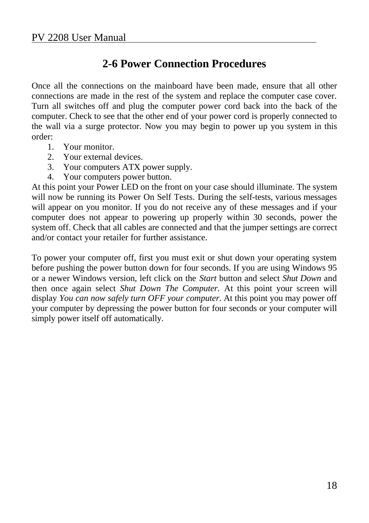### **2-6 Power Connection Procedures**

Once all the connections on the mainboard have been made, ensure that all other connections are made in the rest of the system and replace the computer case cover. Turn all switches off and plug the computer power cord back into the back of the computer. Check to see that the other end of your power cord is properly connected to the wall via a surge protector. Now you may begin to power up you system in this order:

- 1. Your monitor.
- 2. Your external devices.
- 3. Your computers ATX power supply.
- 4. Your computers power button.

At this point your Power LED on the front on your case should illuminate. The system will now be running its Power On Self Tests. During the self-tests, various messages will appear on you monitor. If you do not receive any of these messages and if your computer does not appear to powering up properly within 30 seconds, power the system off. Check that all cables are connected and that the jumper settings are correct and/or contact your retailer for further assistance.

To power your computer off, first you must exit or shut down your operating system before pushing the power button down for four seconds. If you are using Windows 95 or a newer Windows version, left click on the *Start* button and select *Shut Down* and then once again select *Shut Down The Computer.* At this point your screen will display *You can now safely turn OFF your computer*. At this point you may power off your computer by depressing the power button for four seconds or your computer will simply power itself off automatically.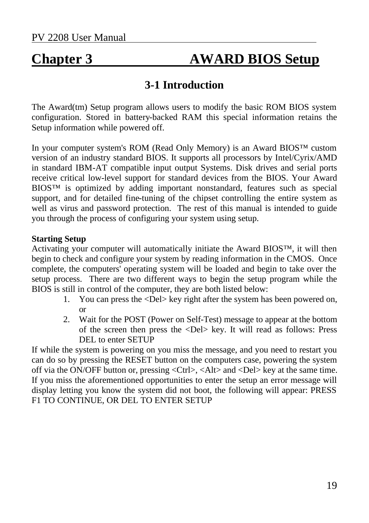## **Chapter 3 AWARD BIOS Setup**

### **3-1 Introduction**

The Award(tm) Setup program allows users to modify the basic ROM BIOS system configuration. Stored in battery-backed RAM this special information retains the Setup information while powered off.

In your computer system's ROM (Read Only Memory) is an Award BIOS™ custom version of an industry standard BIOS. It supports all processors by Intel/Cyrix/AMD in standard IBM-AT compatible input output Systems. Disk drives and serial ports receive critical low-level support for standard devices from the BIOS. Your Award BIOS™ is optimized by adding important nonstandard, features such as special support, and for detailed fine-tuning of the chipset controlling the entire system as well as virus and password protection. The rest of this manual is intended to guide you through the process of configuring your system using setup.

#### **Starting Setup**

Activating your computer will automatically initiate the Award BIOS™, it will then begin to check and configure your system by reading information in the CMOS. Once complete, the computers' operating system will be loaded and begin to take over the setup process. There are two different ways to begin the setup program while the BIOS is still in control of the computer, they are both listed below:

- 1. You can press the <Del> key right after the system has been powered on, or
- 2. Wait for the POST (Power on Self-Test) message to appear at the bottom of the screen then press the <Del> key. It will read as follows: Press DEL to enter SETUP

If while the system is powering on you miss the message, and you need to restart you can do so by pressing the RESET button on the computers case, powering the system off via the ON/OFF button or, pressing <Ctrl>, <Alt> and <Del> key at the same time. If you miss the aforementioned opportunities to enter the setup an error message will display letting you know the system did not boot, the following will appear: PRESS F1 TO CONTINUE, OR DEL TO ENTER SETUP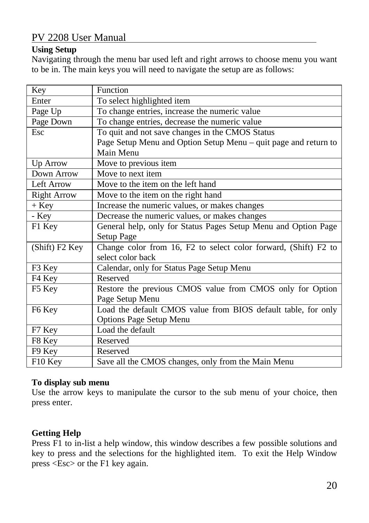#### **Using Setup**

Navigating through the menu bar used left and right arrows to choose menu you want to be in. The main keys you will need to navigate the setup are as follows:

| Key                | Function                                                        |
|--------------------|-----------------------------------------------------------------|
| Enter              | To select highlighted item                                      |
| Page Up            | To change entries, increase the numeric value                   |
| Page Down          | To change entries, decrease the numeric value                   |
| Esc                | To quit and not save changes in the CMOS Status                 |
|                    | Page Setup Menu and Option Setup Menu – quit page and return to |
|                    | Main Menu                                                       |
| Up Arrow           | Move to previous item                                           |
| Down Arrow         | Move to next item                                               |
| Left Arrow         | Move to the item on the left hand                               |
| <b>Right Arrow</b> | Move to the item on the right hand                              |
| $+$ Key            | Increase the numeric values, or makes changes                   |
| - Key              | Decrease the numeric values, or makes changes                   |
| F1 Key             | General help, only for Status Pages Setup Menu and Option Page  |
|                    | Setup Page                                                      |
| (Shift) F2 Key     | Change color from 16, F2 to select color forward, (Shift) F2 to |
|                    | select color back                                               |
| F3 Key             | Calendar, only for Status Page Setup Menu                       |
| F4 Key             | Reserved                                                        |
| F5 Key             | Restore the previous CMOS value from CMOS only for Option       |
|                    | Page Setup Menu                                                 |
| F6 Key             | Load the default CMOS value from BIOS default table, for only   |
|                    | <b>Options Page Setup Menu</b>                                  |
| F7 Key             | Load the default                                                |
| F8 Key             | Reserved                                                        |
| F9 Key             | Reserved                                                        |
| F10 Key            | Save all the CMOS changes, only from the Main Menu              |

#### **To display sub menu**

Use the arrow keys to manipulate the cursor to the sub menu of your choice, then press enter.

#### **Getting Help**

Press F1 to in-list a help window, this window describes a few possible solutions and key to press and the selections for the highlighted item. To exit the Help Window press <Esc> or the F1 key again.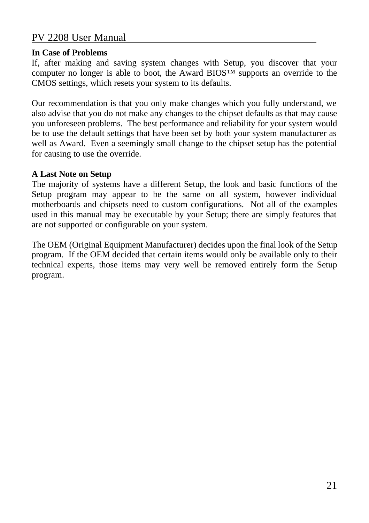#### **In Case of Problems**

If, after making and saving system changes with Setup, you discover that your computer no longer is able to boot, the Award BIOS™ supports an override to the CMOS settings, which resets your system to its defaults.

Our recommendation is that you only make changes which you fully understand, we also advise that you do not make any changes to the chipset defaults as that may cause you unforeseen problems. The best performance and reliability for your system would be to use the default settings that have been set by both your system manufacturer as well as Award. Even a seemingly small change to the chipset setup has the potential for causing to use the override.

#### **A Last Note on Setup**

The majority of systems have a different Setup, the look and basic functions of the Setup program may appear to be the same on all system, however individual motherboards and chipsets need to custom configurations. Not all of the examples used in this manual may be executable by your Setup; there are simply features that are not supported or configurable on your system.

The OEM (Original Equipment Manufacturer) decides upon the final look of the Setup program. If the OEM decided that certain items would only be available only to their technical experts, those items may very well be removed entirely form the Setup program.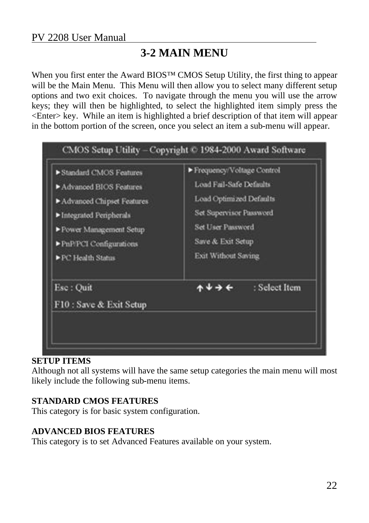### **3-2 MAIN MENU**

When you first enter the Award BIOS™ CMOS Setup Utility, the first thing to appear will be the Main Menu. This Menu will then allow you to select many different setup options and two exit choices. To navigate through the menu you will use the arrow keys; they will then be highlighted, to select the highlighted item simply press the <Enter> key. While an item is highlighted a brief description of that item will appear in the bottom portion of the screen, once you select an item a sub-menu will appear.



#### **SETUP ITEMS**

Although not all systems will have the same setup categories the main menu will most likely include the following sub-menu items.

#### **STANDARD CMOS FEATURES**

This category is for basic system configuration.

#### **ADVANCED BIOS FEATURES**

This category is to set Advanced Features available on your system.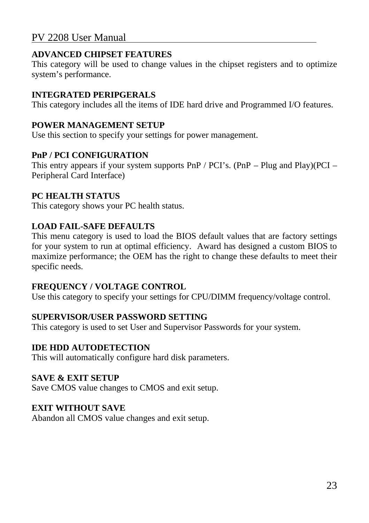#### **ADVANCED CHIPSET FEATURES**

This category will be used to change values in the chipset registers and to optimize system's performance.

#### **INTEGRATED PERIPGERALS**

This category includes all the items of IDE hard drive and Programmed I/O features.

#### **POWER MANAGEMENT SETUP**

Use this section to specify your settings for power management.

#### **PnP / PCI CONFIGURATION**

This entry appears if your system supports PnP / PCI's. (PnP – Plug and Play)(PCI – Peripheral Card Interface)

#### **PC HEALTH STATUS**

This category shows your PC health status.

#### **LOAD FAIL-SAFE DEFAULTS**

This menu category is used to load the BIOS default values that are factory settings for your system to run at optimal efficiency. Award has designed a custom BIOS to maximize performance; the OEM has the right to change these defaults to meet their specific needs.

#### **FREQUENCY / VOLTAGE CONTROL**

Use this category to specify your settings for CPU/DIMM frequency/voltage control.

#### **SUPERVISOR/USER PASSWORD SETTING**

This category is used to set User and Supervisor Passwords for your system.

#### **IDE HDD AUTODETECTION**

This will automatically configure hard disk parameters.

#### **SAVE & EXIT SETUP**

Save CMOS value changes to CMOS and exit setup.

#### **EXIT WITHOUT SAVE**

Abandon all CMOS value changes and exit setup.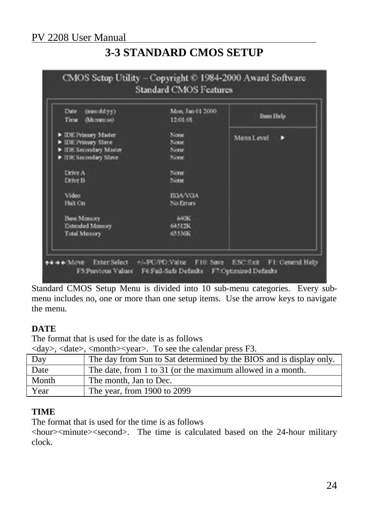### **3-3 STANDARD CMOS SETUP**

| Date<br>(mnxddyy)<br>(hhmmua)<br>Time                                                       | Mon, Jan 01 2000<br>12:01:08 | Item Help       |
|---------------------------------------------------------------------------------------------|------------------------------|-----------------|
| D IDE Primary Master<br>E IDE Primary Slave<br>DE Secondary Master<br>> IDE Secondary Slave | None<br>None<br>None<br>None | Menn Level<br>D |
| Drive A<br><b>Drive B</b>                                                                   | None<br>None                 |                 |
| Video:<br>Halt On                                                                           | <b>EGA/VGA</b><br>No Errors  |                 |
| <b>Base Memory</b><br>Extended Memory<br><b>Total Memory</b>                                | 640K<br>64512K<br>65536K     |                 |

Standard CMOS Setup Menu is divided into 10 sub-menu categories. Every submenu includes no, one or more than one setup items. Use the arrow keys to navigate the menu.

#### **DATE**

The format that is used for the date is as follows

<day>, <date>, <month><year>. To see the calendar press F3.

| Day   | The day from Sun to Sat determined by the BIOS and is display only. |
|-------|---------------------------------------------------------------------|
| Date  | The date, from 1 to 31 (or the maximum allowed in a month.          |
| Month | The month, Jan to Dec.                                              |
| Year  | The year, from 1900 to 2099                                         |

#### **TIME**

The format that is used for the time is as follows

<hour><minute><second>. The time is calculated based on the 24-hour military clock.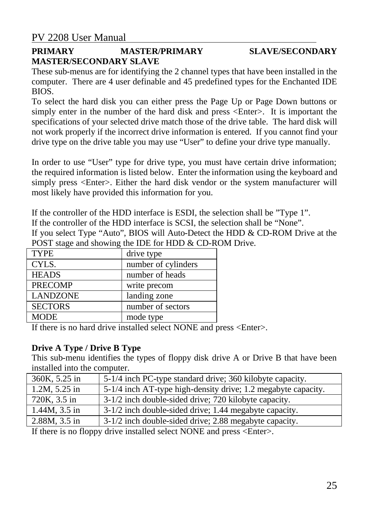#### **PRIMARY MASTER/PRIMARY SLAVE/SECONDARY MASTER/SECONDARY SLAVE**

These sub-menus are for identifying the 2 channel types that have been installed in the computer. There are 4 user definable and 45 predefined types for the Enchanted IDE BIOS.

To select the hard disk you can either press the Page Up or Page Down buttons or simply enter in the number of the hard disk and press <Enter>. It is important the specifications of your selected drive match those of the drive table. The hard disk will not work properly if the incorrect drive information is entered. If you cannot find your drive type on the drive table you may use "User" to define your drive type manually.

In order to use "User" type for drive type, you must have certain drive information; the required information is listed below. Enter the information using the keyboard and simply press <Enter>. Either the hard disk vendor or the system manufacturer will most likely have provided this information for you.

If the controller of the HDD interface is ESDI, the selection shall be "Type 1". If the controller of the HDD interface is SCSI, the selection shall be "None". If you select Type "Auto", BIOS will Auto-Detect the HDD & CD-ROM Drive at the POST stage and showing the IDE for HDD & CD-ROM Drive.

| <b>TYPE</b>     | drive type          |
|-----------------|---------------------|
| CYLS.           | number of cylinders |
| <b>HEADS</b>    | number of heads     |
| <b>PRECOMP</b>  | write precom        |
| <b>LANDZONE</b> | landing zone        |
| <b>SECTORS</b>  | number of sectors   |
| <b>MODE</b>     | mode type           |

If there is no hard drive installed select NONE and press <Enter>.

#### **Drive A Type / Drive B Type**

This sub-menu identifies the types of floppy disk drive A or Drive B that have been installed into the computer.

| 360K, 5.25 in      | 5-1/4 inch PC-type standard drive; 360 kilobyte capacity.     |
|--------------------|---------------------------------------------------------------|
| 1.2M, 5.25 in      | 5-1/4 inch AT-type high-density drive; 1.2 megabyte capacity. |
| 720K, 3.5 in       | 3-1/2 inch double-sided drive; 720 kilobyte capacity.         |
| $1.44M$ , $3.5$ in | 3-1/2 inch double-sided drive; 1.44 megabyte capacity.        |
| $2.88M, 3.5$ in    | 3-1/2 inch double-sided drive; 2.88 megabyte capacity.        |

If there is no floppy drive installed select NONE and press <Enter>.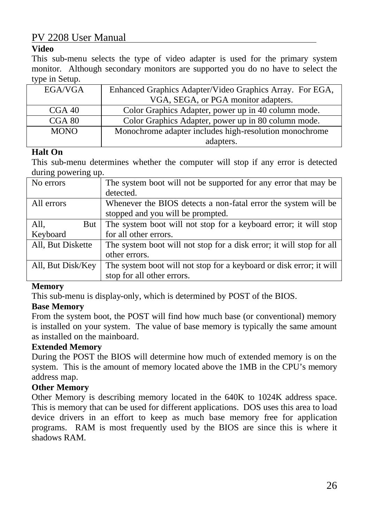#### **Video**

This sub-menu selects the type of video adapter is used for the primary system monitor. Although secondary monitors are supported you do no have to select the type in Setup.

| EGA/VGA     | Enhanced Graphics Adapter/Video Graphics Array. For EGA, |
|-------------|----------------------------------------------------------|
|             | VGA, SEGA, or PGA monitor adapters.                      |
| CGA 40      | Color Graphics Adapter, power up in 40 column mode.      |
| CGA 80      | Color Graphics Adapter, power up in 80 column mode.      |
| <b>MONO</b> | Monochrome adapter includes high-resolution monochrome   |
|             | adapters.                                                |

#### **Halt On**

This sub-menu determines whether the computer will stop if any error is detected during powering up.

| No errors         | The system boot will not be supported for any error that may be      |
|-------------------|----------------------------------------------------------------------|
|                   | detected.                                                            |
| All errors        | Whenever the BIOS detects a non-fatal error the system will be       |
|                   | stopped and you will be prompted.                                    |
| All,<br>But       | The system boot will not stop for a keyboard error; it will stop     |
| Keyboard          | for all other errors.                                                |
| All, But Diskette | The system boot will not stop for a disk error; it will stop for all |
|                   | other errors.                                                        |
| All, But Disk/Key | The system boot will not stop for a keyboard or disk error; it will  |
|                   | stop for all other errors.                                           |

#### **Memory**

This sub-menu is display-only, which is determined by POST of the BIOS.

#### **Base Memory**

From the system boot, the POST will find how much base (or conventional) memory is installed on your system. The value of base memory is typically the same amount as installed on the mainboard.

#### **Extended Memory**

During the POST the BIOS will determine how much of extended memory is on the system. This is the amount of memory located above the 1MB in the CPU's memory address map.

#### **Other Memory**

Other Memory is describing memory located in the 640K to 1024K address space. This is memory that can be used for different applications. DOS uses this area to load device drivers in an effort to keep as much base memory free for application programs. RAM is most frequently used by the BIOS are since this is where it shadows RAM.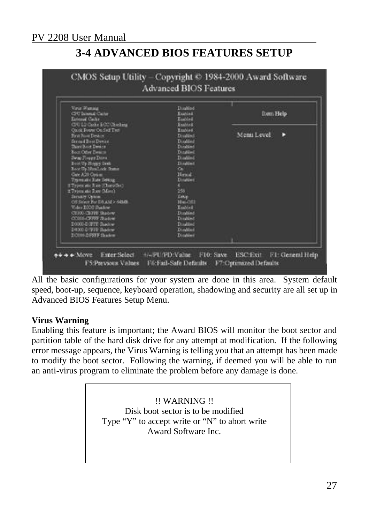### **3-4 ADVANCED BIOS FEATURES SETUP**



All the basic configurations for your system are done in this area. System default speed, boot-up, sequence, keyboard operation, shadowing and security are all set up in Advanced BIOS Features Setup Menu.

#### **Virus Warning**

Enabling this feature is important; the Award BIOS will monitor the boot sector and partition table of the hard disk drive for any attempt at modification. If the following error message appears, the Virus Warning is telling you that an attempt has been made to modify the boot sector. Following the warning, if deemed you will be able to run an anti-virus program to eliminate the problem before any damage is done.

> !! WARNING !! Disk boot sector is to be modified Type "Y" to accept write or "N" to abort write Award Software Inc.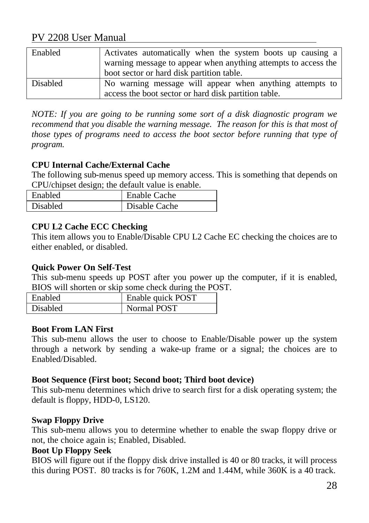| Enabled         | Activates automatically when the system boots up causing a     |
|-----------------|----------------------------------------------------------------|
|                 | warning message to appear when anything attempts to access the |
|                 | boot sector or hard disk partition table.                      |
| <b>Disabled</b> | No warning message will appear when anything attempts to       |
|                 | access the boot sector or hard disk partition table.           |

*NOTE: If you are going to be running some sort of a disk diagnostic program we* recommend that you disable the warning message. The reason for this is that most of *those types of programs need to access the boot sector before running that type of program.*

#### **CPU Internal Cache/External Cache**

The following sub-menus speed up memory access. This is something that depends on CPU/chipset design; the default value is enable.

| Enabled         | <b>Enable Cache</b> |
|-----------------|---------------------|
| <b>Disabled</b> | Disable Cache       |

#### **CPU L2 Cache ECC Checking**

This item allows you to Enable/Disable CPU L2 Cache EC checking the choices are to either enabled, or disabled.

#### **Quick Power On Self-Test**

This sub-menu speeds up POST after you power up the computer, if it is enabled, BIOS will shorten or skip some check during the POST.

| Enabled  | Enable quick POST |
|----------|-------------------|
| Disabled | Normal POST       |

#### **Boot From LAN First**

This sub-menu allows the user to choose to Enable/Disable power up the system through a network by sending a wake-up frame or a signal; the choices are to Enabled/Disabled.

#### **Boot Sequence (First boot; Second boot; Third boot device)**

This sub-menu determines which drive to search first for a disk operating system; the default is floppy, HDD-0, LS120.

#### **Swap Floppy Drive**

This sub-menu allows you to determine whether to enable the swap floppy drive or not, the choice again is; Enabled, Disabled.

#### **Boot Up Floppy Seek**

BIOS will figure out if the floppy disk drive installed is 40 or 80 tracks, it will process this during POST. 80 tracks is for 760K, 1.2M and 1.44M, while 360K is a 40 track.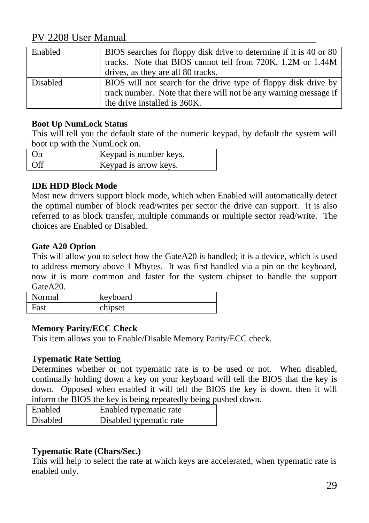| Enabled         | BIOS searches for floppy disk drive to determine if it is 40 or 80<br>tracks. Note that BIOS cannot tell from 720K, 1.2M or 1.44M<br>drives, as they are all 80 tracks. |
|-----------------|-------------------------------------------------------------------------------------------------------------------------------------------------------------------------|
| <b>Disabled</b> | BIOS will not search for the drive type of floppy disk drive by<br>track number. Note that there will not be any warning message if                                     |
|                 | the drive installed is 360K.                                                                                                                                            |

#### **Boot Up NumLock Status**

This will tell you the default state of the numeric keypad, by default the system will boot up with the NumLock on.

| (n) | Keypad is number keys. |
|-----|------------------------|
| 0ff | Keypad is arrow keys.  |

#### **IDE HDD Block Mode**

Most new drivers support block mode, which when Enabled will automatically detect the optimal number of block read/writes per sector the drive can support. It is also referred to as block transfer, multiple commands or multiple sector read/write. The choices are Enabled or Disabled.

#### **Gate A20 Option**

This will allow you to select how the GateA20 is handled; it is a device, which is used to address memory above 1 Mbytes. It was first handled via a pin on the keyboard, now it is more common and faster for the system chipset to handle the support Gate A<sub>20</sub>

| Normal | keyboard |
|--------|----------|
| Fast   | chipset  |

#### **Memory Parity/ECC Check**

This item allows you to Enable/Disable Memory Parity/ECC check.

#### **Typematic Rate Setting**

Determines whether or not typematic rate is to be used or not. When disabled, continually holding down a key on your keyboard will tell the BIOS that the key is down. Opposed when enabled it will tell the BIOS the key is down, then it will inform the BIOS the key is being repeatedly being pushed down.

| <b>Enabled</b> | Enabled typematic rate  |  |  |
|----------------|-------------------------|--|--|
| Disabled       | Disabled typematic rate |  |  |

#### **Typematic Rate (Chars/Sec.)**

This will help to select the rate at which keys are accelerated, when typematic rate is enabled only.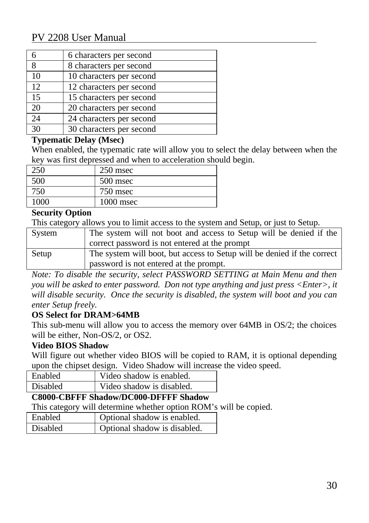|    | 6 characters per second  |
|----|--------------------------|
| 8  | 8 characters per second  |
| 10 | 10 characters per second |
| 12 | 12 characters per second |
| 15 | 15 characters per second |
| 20 | 20 characters per second |
| 24 | 24 characters per second |
| 30 | 30 characters per second |

#### **Typematic Delay (Msec)**

When enabled, the typematic rate will allow you to select the delay between when the key was first depressed and when to acceleration should begin.

| 250    | $250$ msec  |
|--------|-------------|
| 500    | 500 msec    |
| $750-$ | 750 msec    |
| nog    | $1000$ msec |

#### **Security Option**

This category allows you to limit access to the system and Setup, or just to Setup.

| System | The system will not boot and access to Setup will be denied if the      |
|--------|-------------------------------------------------------------------------|
|        | correct password is not entered at the prompt                           |
| Setup  | The system will boot, but access to Setup will be denied if the correct |
|        | password is not entered at the prompt.                                  |

*Note: To disable the security, select PASSWORD SETTING at Main Menu and then you will be asked to enter password. Don not type anything and just press <Enter>, it will disable security. Once the security is disabled, the system will boot and you can enter Setup freely.*

#### **OS Select for DRAM>64MB**

This sub-menu will allow you to access the memory over 64MB in OS/2; the choices will be either, Non-OS/2, or OS2.

#### **Video BIOS Shadow**

Will figure out whether video BIOS will be copied to RAM, it is optional depending upon the chipset design. Video Shadow will increase the video speed.

| <b>Enabled</b> | Video shadow is enabled.  |
|----------------|---------------------------|
| Disabled       | Video shadow is disabled. |
|                |                           |

#### **C8000-CBFFF Shadow/DC000-DFFFF Shadow**

This category will determine whether option ROM's will be copied.

| <b>Enabled</b>  | Optional shadow is enabled.  |
|-----------------|------------------------------|
| <b>Disabled</b> | Optional shadow is disabled. |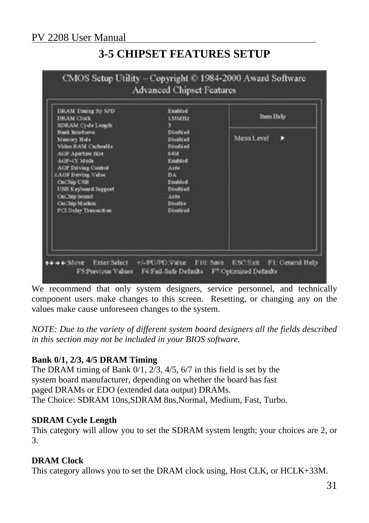### **3-5 CHIPSET FEATURES SETUP**



We recommend that only system designers, service personnel, and technically component users make changes to this screen. Resetting, or changing any on the values make cause unforeseen changes to the system.

*NOTE: Due to the variety of different system board designers all the fields described in this section may not be included in your BIOS software.*

#### **Bank 0/1, 2/3, 4/5 DRAM Timing**

The DRAM timing of Bank 0/1, 2/3, 4/5, 6/7 in this field is set by the system board manufacturer, depending on whether the board has fast paged DRAMs or EDO (extended data output) DRAMs. The Choice: SDRAM 10ns,SDRAM 8ns,Normal, Medium, Fast, Turbo.

#### **SDRAM Cycle Length**

This category will allow you to set the SDRAM system length; your choices are 2, or 3.

#### **DRAM Clock**

This category allows you to set the DRAM clock using, Host CLK, or HCLK+33M.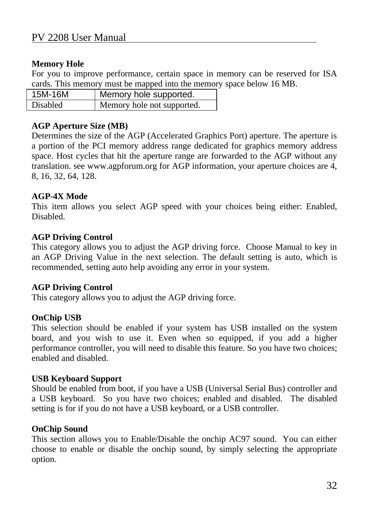#### **Memory Hole**

For you to improve performance, certain space in memory can be reserved for ISA cards. This memory must be mapped into the memory space below 16 MB.

| 15M-16M  | Memory hole supported.     |
|----------|----------------------------|
| Disabled | Memory hole not supported. |

#### **AGP Aperture Size (MB)**

Determines the size of the AGP (Accelerated Graphics Port) aperture. The aperture is a portion of the PCI memory address range dedicated for graphics memory address space. Host cycles that hit the aperture range are forwarded to the AGP without any translation. see www.agpforum.org for AGP information, your aperture choices are 4, 8, 16, 32, 64, 128.

#### **AGP-4X Mode**

This item allows you select AGP speed with your choices being either: Enabled, Disabled.

#### **AGP Driving Control**

This category allows you to adjust the AGP driving force. Choose Manual to key in an AGP Driving Value in the next selection. The default setting is auto, which is recommended, setting auto help avoiding any error in your system.

#### **AGP Driving Control**

This category allows you to adjust the AGP driving force.

#### **OnChip USB**

This selection should be enabled if your system has USB installed on the system board, and you wish to use it. Even when so equipped, if you add a higher performance controller, you will need to disable this feature. So you have two choices; enabled and disabled.

#### **USB Keyboard Support**

Should be enabled from boot, if you have a USB (Universal Serial Bus) controller and a USB keyboard. So you have two choices; enabled and disabled. The disabled setting is for if you do not have a USB keyboard, or a USB controller.

#### **OnChip Sound**

This section allows you to Enable/Disable the onchip AC97 sound. You can either choose to enable or disable the onchip sound, by simply selecting the appropriate option.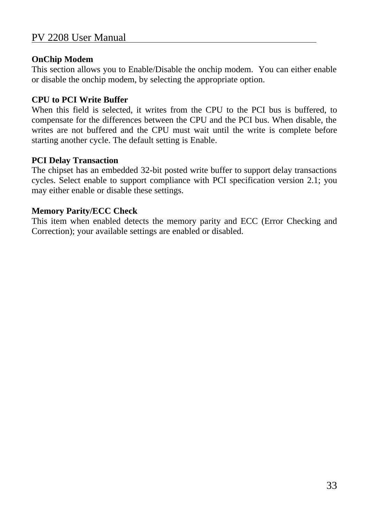#### **OnChip Modem**

This section allows you to Enable/Disable the onchip modem. You can either enable or disable the onchip modem, by selecting the appropriate option.

#### **CPU to PCI Write Buffer**

When this field is selected, it writes from the CPU to the PCI bus is buffered, to compensate for the differences between the CPU and the PCI bus. When disable, the writes are not buffered and the CPU must wait until the write is complete before starting another cycle. The default setting is Enable.

#### **PCI Delay Transaction**

The chipset has an embedded 32-bit posted write buffer to support delay transactions cycles. Select enable to support compliance with PCI specification version 2.1; you may either enable or disable these settings.

#### **Memory Parity/ECC Check**

This item when enabled detects the memory parity and ECC (Error Checking and Correction); your available settings are enabled or disabled.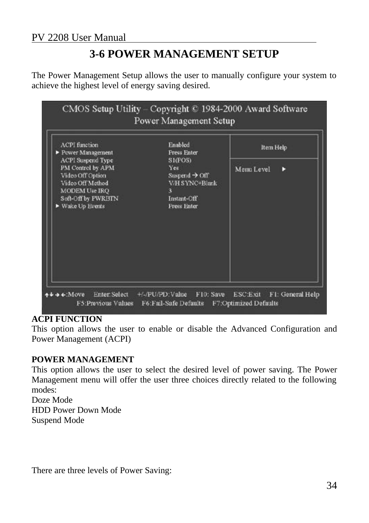### **3-6 POWER MANAGEMENT SETUP**

The Power Management Setup allows the user to manually configure your system to achieve the highest level of energy saving desired.



#### **ACPI FUNCTION**

This option allows the user to enable or disable the Advanced Configuration and Power Management (ACPI)

#### **POWER MANAGEMENT**

This option allows the user to select the desired level of power saving. The Power Management menu will offer the user three choices directly related to the following modes: Doze Mode HDD Power Down Mode

Suspend Mode

There are three levels of Power Saving: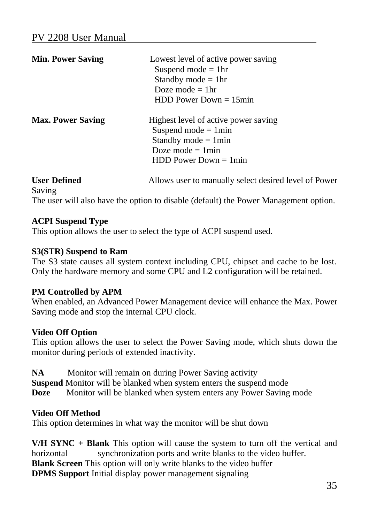| <b>Min. Power Saving</b>             | Lowest level of active power saving<br>Suspend mode $=$ 1hr<br>Standby mode $=$ 1hr<br>Doze mode $=$ 1hr<br>$HDD Power Down = 15min$       |
|--------------------------------------|--------------------------------------------------------------------------------------------------------------------------------------------|
| <b>Max. Power Saving</b>             | Highest level of active power saving<br>Suspend mode $= 1$ min<br>Standby mode $= 1$ min<br>Doze mode $= 1$ min<br>$HDD Power Down = 1min$ |
| <b>User Defined</b><br>$\sim$ $\sim$ | Allows user to manually select desired level of Power                                                                                      |

Saving The user will also have the option to disable (default) the Power Management option.

#### **ACPI Suspend Type**

This option allows the user to select the type of ACPI suspend used.

#### **S3(STR) Suspend to Ram**

The S3 state causes all system context including CPU, chipset and cache to be lost. Only the hardware memory and some CPU and L2 configuration will be retained.

#### **PM Controlled by APM**

When enabled, an Advanced Power Management device will enhance the Max. Power Saving mode and stop the internal CPU clock.

#### **Video Off Option**

This option allows the user to select the Power Saving mode, which shuts down the monitor during periods of extended inactivity.

**NA** Monitor will remain on during Power Saving activity **Suspend** Monitor will be blanked when system enters the suspend mode **Doze** Monitor will be blanked when system enters any Power Saving mode

#### **Video Off Method**

This option determines in what way the monitor will be shut down

**V/H SYNC + Blank** This option will cause the system to turn off the vertical and horizontal synchronization ports and write blanks to the video buffer. **Blank Screen** This option will only write blanks to the video buffer **DPMS Support** Initial display power management signaling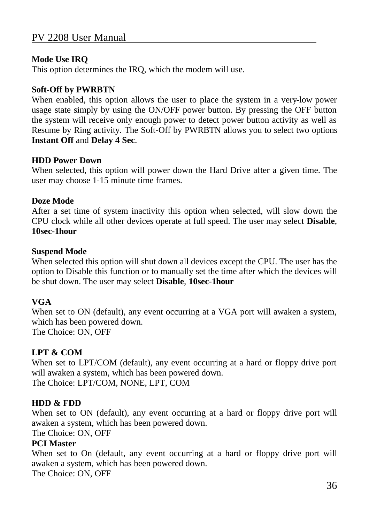#### **Mode Use IRQ**

This option determines the IRQ, which the modem will use.

#### **Soft-Off by PWRBTN**

When enabled, this option allows the user to place the system in a very-low power usage state simply by using the ON/OFF power button. By pressing the OFF button the system will receive only enough power to detect power button activity as well as Resume by Ring activity. The Soft-Off by PWRBTN allows you to select two options **Instant Off** and **Delay 4 Sec**.

#### **HDD Power Down**

When selected, this option will power down the Hard Drive after a given time. The user may choose 1-15 minute time frames.

#### **Doze Mode**

After a set time of system inactivity this option when selected, will slow down the CPU clock while all other devices operate at full speed. The user may select **Disable**, **10sec-1hour**

#### **Suspend Mode**

When selected this option will shut down all devices except the CPU. The user has the option to Disable this function or to manually set the time after which the devices will be shut down. The user may select **Disable**, **10sec-1hour**

#### **VGA**

When set to ON (default), any event occurring at a VGA port will awaken a system, which has been powered down.

The Choice: ON, OFF

#### **LPT & COM**

When set to LPT/COM (default), any event occurring at a hard or floppy drive port will awaken a system, which has been powered down. The Choice: LPT/COM, NONE, LPT, COM

#### **HDD & FDD**

When set to ON (default), any event occurring at a hard or floppy drive port will awaken a system, which has been powered down.

The Choice: ON, OFF

#### **PCI Master**

When set to On (default, any event occurring at a hard or floppy drive port will awaken a system, which has been powered down.

The Choice: ON, OFF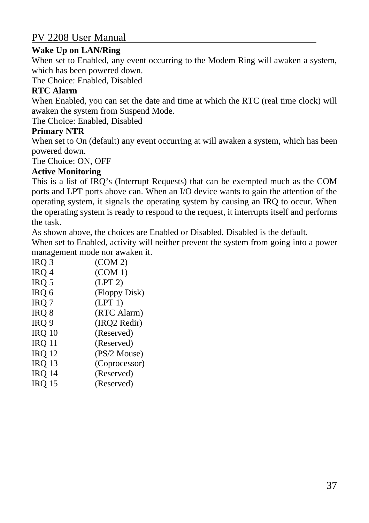#### **Wake Up on LAN/Ring**

When set to Enabled, any event occurring to the Modem Ring will awaken a system, which has been powered down.

The Choice: Enabled, Disabled

#### **RTC Alarm**

When Enabled, you can set the date and time at which the RTC (real time clock) will awaken the system from Suspend Mode.

The Choice: Enabled, Disabled

#### **Primary NTR**

When set to On (default) any event occurring at will awaken a system, which has been powered down.

The Choice: ON, OFF

#### **Active Monitoring**

This is a list of IRQ's (Interrupt Requests) that can be exempted much as the COM ports and LPT ports above can. When an I/O device wants to gain the attention of the operating system, it signals the operating system by causing an IRQ to occur. When the operating system is ready to respond to the request, it interrupts itself and performs the task.

As shown above, the choices are Enabled or Disabled. Disabled is the default.

When set to Enabled, activity will neither prevent the system from going into a power management mode nor awaken it.

| IRQ 3            | (COM 2)       |
|------------------|---------------|
| IRQ 4            | (COM 1)       |
| IRQ 5            | (LPT 2)       |
| IRQ 6            | (Floppy Disk) |
| IRQ <sub>7</sub> | (LPT 1)       |
| IRQ 8            | (RTC Alarm)   |
| IRQ 9            | (IRQ2 Redir)  |
| <b>IRQ 10</b>    | (Reserved)    |
| <b>IRQ 11</b>    | (Reserved)    |
| IRQ 12           | (PS/2 Mouse)  |
| IRQ 13           | (Coprocessor) |
| IRQ 14           | (Reserved)    |
|                  |               |

IRQ 15 (Reserved)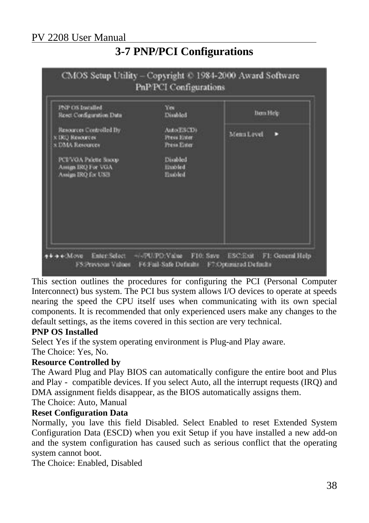### **3-7 PNP/PCI Configurations**



This section outlines the procedures for configuring the PCI (Personal Computer Interconnect) bus system. The PCI bus system allows I/O devices to operate at speeds nearing the speed the CPU itself uses when communicating with its own special components. It is recommended that only experienced users make any changes to the default settings, as the items covered in this section are very technical.

#### **PNP OS Installed**

Select Yes if the system operating environment is Plug-and Play aware.

The Choice: Yes, No.

#### **Resource Controlled by**

The Award Plug and Play BIOS can automatically configure the entire boot and Plus and Play - compatible devices. If you select Auto, all the interrupt requests (IRQ) and DMA assignment fields disappear, as the BIOS automatically assigns them.

#### The Choice: Auto, Manual

#### **Reset Configuration Data**

Normally, you lave this field Disabled. Select Enabled to reset Extended System Configuration Data (ESCD) when you exit Setup if you have installed a new add-on and the system configuration has caused such as serious conflict that the operating system cannot boot.

The Choice: Enabled, Disabled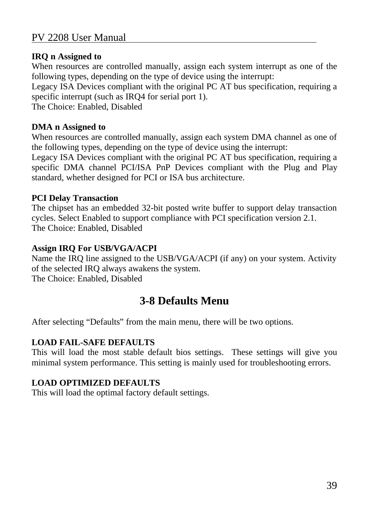#### **IRQ n Assigned to**

When resources are controlled manually, assign each system interrupt as one of the following types, depending on the type of device using the interrupt:

Legacy ISA Devices compliant with the original PC AT bus specification, requiring a specific interrupt (such as IRQ4 for serial port 1).

The Choice: Enabled, Disabled

#### **DMA n Assigned to**

When resources are controlled manually, assign each system DMA channel as one of the following types, depending on the type of device using the interrupt:

Legacy ISA Devices compliant with the original PC AT bus specification, requiring a specific DMA channel PCI/ISA PnP Devices compliant with the Plug and Play standard, whether designed for PCI or ISA bus architecture.

#### **PCI Delay Transaction**

The chipset has an embedded 32-bit posted write buffer to support delay transaction cycles. Select Enabled to support compliance with PCI specification version 2.1. The Choice: Enabled, Disabled

#### **Assign IRQ For USB/VGA/ACPI**

Name the IRQ line assigned to the USB/VGA/ACPI (if any) on your system. Activity of the selected IRQ always awakens the system. The Choice: Enabled, Disabled

### **3-8 Defaults Menu**

After selecting "Defaults" from the main menu, there will be two options.

#### **LOAD FAIL-SAFE DEFAULTS**

This will load the most stable default bios settings. These settings will give you minimal system performance. This setting is mainly used for troubleshooting errors.

#### **LOAD OPTIMIZED DEFAULTS**

This will load the optimal factory default settings.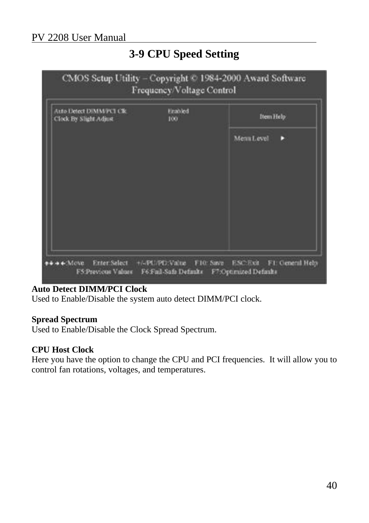### **3-9 CPU Speed Setting**



#### **Auto Detect DIMM/PCI Clock**

Used to Enable/Disable the system auto detect DIMM/PCI clock.

#### **Spread Spectrum**

Used to Enable/Disable the Clock Spread Spectrum.

#### **CPU Host Clock**

Here you have the option to change the CPU and PCI frequencies. It will allow you to control fan rotations, voltages, and temperatures.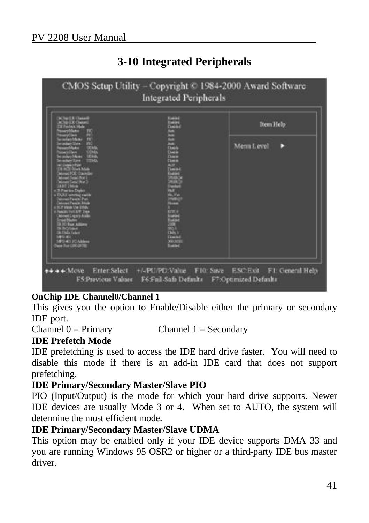### **3-10 Integrated Peripherals**



#### **OnChip IDE Channel0/Channel 1**

This gives you the option to Enable/Disable either the primary or secondary IDE port.

Channel  $0 = Primary$  Channel  $1 = Secondary$ 

#### **IDE Prefetch Mode**

IDE prefetching is used to access the IDE hard drive faster. You will need to disable this mode if there is an add-in IDE card that does not support prefetching.

#### **IDE Primary/Secondary Master/Slave PIO**

PIO (Input/Output) is the mode for which your hard drive supports. Newer IDE devices are usually Mode 3 or 4. When set to AUTO, the system will determine the most efficient mode.

#### **IDE Primary/Secondary Master/Slave UDMA**

This option may be enabled only if your IDE device supports DMA 33 and you are running Windows 95 OSR2 or higher or a third-party IDE bus master driver.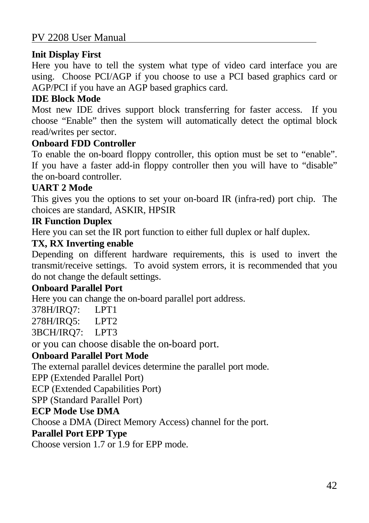#### **Init Display First**

Here you have to tell the system what type of video card interface you are using. Choose PCI/AGP if you choose to use a PCI based graphics card or AGP/PCI if you have an AGP based graphics card.

#### **IDE Block Mode**

Most new IDE drives support block transferring for faster access. If you choose "Enable" then the system will automatically detect the optimal block read/writes per sector.

#### **Onboard FDD Controller**

To enable the on-board floppy controller, this option must be set to "enable". If you have a faster add-in floppy controller then you will have to "disable" the on-board controller.

#### **UART 2 Mode**

This gives you the options to set your on-board IR (infra-red) port chip. The choices are standard, ASKIR, HPSIR

### **IR Function Duplex**

Here you can set the IR port function to either full duplex or half duplex.

#### **TX, RX Inverting enable**

Depending on different hardware requirements, this is used to invert the transmit/receive settings. To avoid system errors, it is recommended that you do not change the default settings.

#### **Onboard Parallel Port**

Here you can change the on-board parallel port address.

378H/IRQ7: LPT1

278H/IRQ5: LPT2

3BCH/IRQ7: LPT3

or you can choose disable the on-board port.

#### **Onboard Parallel Port Mode**

The external parallel devices determine the parallel port mode.

EPP (Extended Parallel Port)

ECP (Extended Capabilities Port)

SPP (Standard Parallel Port)

#### **ECP Mode Use DMA**

Choose a DMA (Direct Memory Access) channel for the port.

#### **Parallel Port EPP Type**

Choose version 1.7 or 1.9 for EPP mode.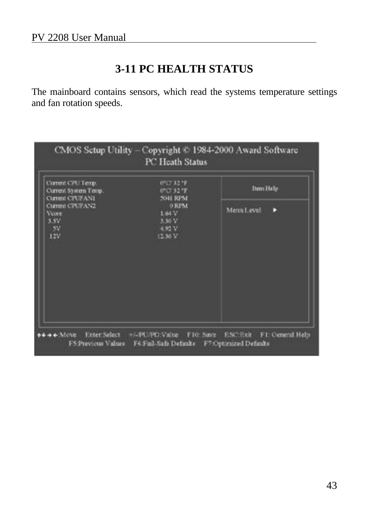### **3-11 PC HEALTH STATUS**

The mainboard contains sensors, which read the systems temperature settings and fan rotation speeds.

| Current CPL/Temp.<br>Current System Temp.                        | 07073278<br>0°C 32 °F                                     | Item Help        |
|------------------------------------------------------------------|-----------------------------------------------------------|------------------|
| Current CPUFANI<br>Current CPUFAN2<br>Venee<br>3.3V<br>5V<br>12V | 5041 RPM<br>0 RFM<br>1.64V<br>$3.30-V$<br>4.92 V<br>1236V | Menta Level<br>D |